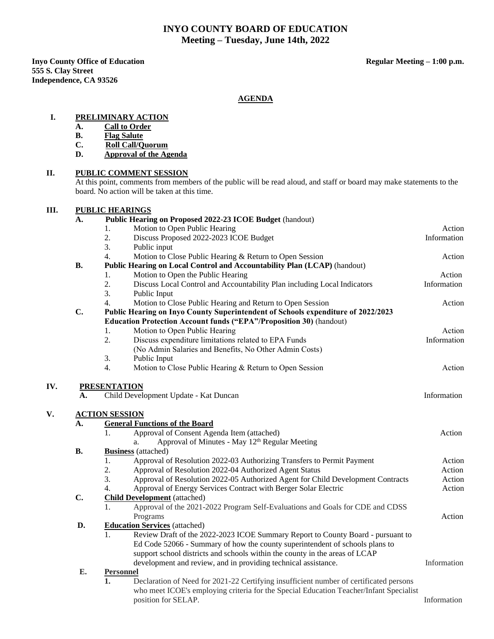## **INYO COUNTY BOARD OF EDUCATION Meeting – Tuesday, June 14th, 2022**

**Inyo County Office of Education Regular Meeting – 1:00 p.m. Regular Meeting – 1:00 p.m. 555 S. Clay Street Independence, CA 93526**

### **AGENDA**

### **I. PRELIMINARY ACTION**

- **A. Call to Order**
- **B. Flag Salute**
- **C. Roll Call/Quorum**
- **D. Approval of the Agenda**

### **II. PUBLIC COMMENT SESSION**

At this point, comments from members of the public will be read aloud, and staff or board may make statements to the board. No action will be taken at this time.

# **III. PUBLIC HEARINGS**

| A.        | Public Hearing on Proposed 2022-23 ICOE Budget (handout)                                               |             |
|-----------|--------------------------------------------------------------------------------------------------------|-------------|
|           | Motion to Open Public Hearing<br>1.                                                                    | Action      |
|           | Discuss Proposed 2022-2023 ICOE Budget<br>2.                                                           | Information |
|           | 3.<br>Public input                                                                                     |             |
|           | 4.<br>Motion to Close Public Hearing & Return to Open Session                                          | Action      |
| <b>B.</b> | Public Hearing on Local Control and Accountability Plan (LCAP) (handout)                               |             |
|           | Motion to Open the Public Hearing<br>1.                                                                | Action      |
|           | 2.<br>Discuss Local Control and Accountability Plan including Local Indicators                         | Information |
|           | 3.<br>Public Input                                                                                     |             |
|           | 4.<br>Motion to Close Public Hearing and Return to Open Session                                        | Action      |
| C.        | Public Hearing on Inyo County Superintendent of Schools expenditure of 2022/2023                       |             |
|           | <b>Education Protection Account funds ("EPA"/Proposition 30)</b> (handout)                             |             |
|           | Motion to Open Public Hearing<br>1.                                                                    | Action      |
|           | 2.<br>Discuss expenditure limitations related to EPA Funds                                             | Information |
|           | (No Admin Salaries and Benefits, No Other Admin Costs)                                                 |             |
|           | 3.<br>Public Input                                                                                     |             |
|           | Motion to Close Public Hearing & Return to Open Session<br>4.                                          | Action      |
|           | <b>ACTION SESSION</b>                                                                                  |             |
| А.        | <b>General Functions of the Board</b>                                                                  |             |
|           | Approval of Consent Agenda Item (attached)<br>1.                                                       | Action      |
|           | Approval of Minutes - May 12 <sup>th</sup> Regular Meeting<br>a.                                       |             |
| <b>B.</b> | <b>Business</b> (attached)                                                                             |             |
|           | 1.<br>Approval of Resolution 2022-03 Authorizing Transfers to Permit Payment                           | Action      |
|           | 2.<br>Approval of Resolution 2022-04 Authorized Agent Status                                           | Action      |
|           | 3.<br>Approval of Resolution 2022-05 Authorized Agent for Child Development Contracts                  | Action      |
|           | Approval of Energy Services Contract with Berger Solar Electric<br>4.                                  | Action      |
| C.        | <b>Child Development</b> (attached)                                                                    |             |
|           | Approval of the 2021-2022 Program Self-Evaluations and Goals for CDE and CDSS<br>1.                    |             |
|           | Programs                                                                                               | Action      |
| D.        | <b>Education Services</b> (attached)                                                                   |             |
|           | 1.<br>Review Draft of the 2022-2023 ICOE Summary Report to County Board - pursuant to                  |             |
|           | Ed Code 52066 - Summary of how the county superintendent of schools plans to                           |             |
|           | support school districts and schools within the county in the areas of LCAP                            |             |
|           | development and review, and in providing technical assistance.                                         | Information |
| E.        | <b>Personnel</b>                                                                                       |             |
|           | $\mathbf{1}$<br>Declaration of Need for 2021-22 Certifying insufficient number of certificated persons |             |
|           | who meet ICOE's employing criteria for the Special Education Teacher/Infant Specialist                 |             |
|           | position for SELAP.                                                                                    | Information |